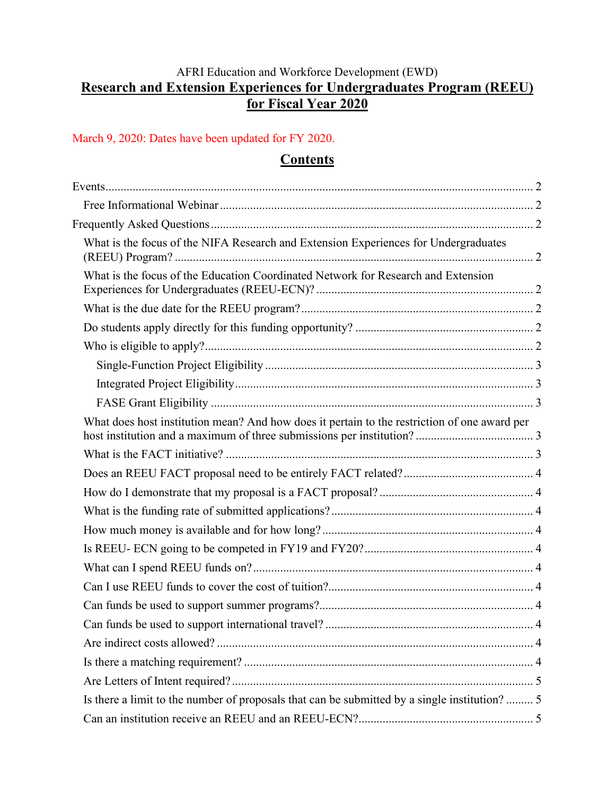# AFRI Education and Workforce Development (EWD) **Research and Extension Experiences for Undergraduates Program (REEU) for Fiscal Year 2020**

#### March 9, 2020: Dates have been updated for FY 2020.

## **Contents**

| What is the focus of the NIFA Research and Extension Experiences for Undergraduates           |  |
|-----------------------------------------------------------------------------------------------|--|
| What is the focus of the Education Coordinated Network for Research and Extension             |  |
|                                                                                               |  |
|                                                                                               |  |
|                                                                                               |  |
|                                                                                               |  |
|                                                                                               |  |
|                                                                                               |  |
| What does host institution mean? And how does it pertain to the restriction of one award per  |  |
|                                                                                               |  |
|                                                                                               |  |
|                                                                                               |  |
|                                                                                               |  |
|                                                                                               |  |
|                                                                                               |  |
|                                                                                               |  |
|                                                                                               |  |
|                                                                                               |  |
|                                                                                               |  |
|                                                                                               |  |
|                                                                                               |  |
|                                                                                               |  |
| Is there a limit to the number of proposals that can be submitted by a single institution?  5 |  |
|                                                                                               |  |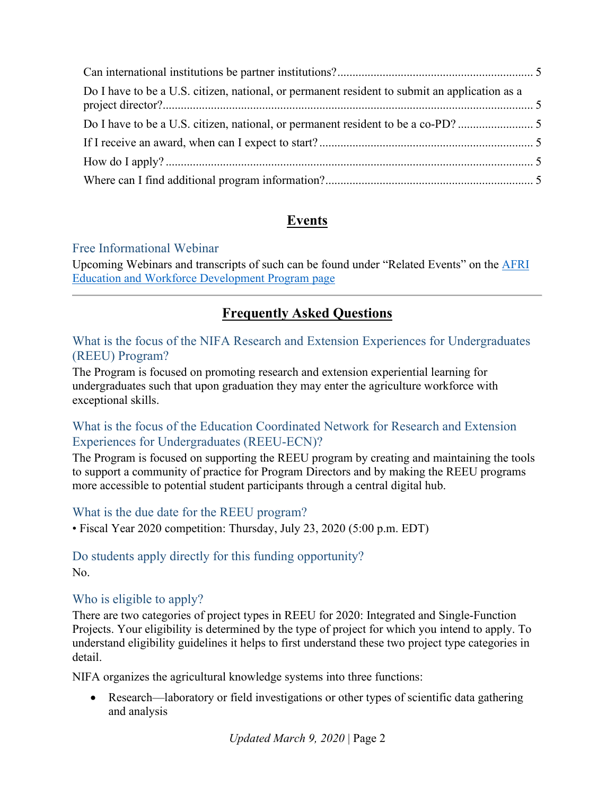| Do I have to be a U.S. citizen, national, or permanent resident to submit an application as a |  |
|-----------------------------------------------------------------------------------------------|--|
|                                                                                               |  |
|                                                                                               |  |
|                                                                                               |  |
|                                                                                               |  |

# **Events**

# <span id="page-1-1"></span><span id="page-1-0"></span>Free Informational Webinar

Upcoming Webinars and transcripts of such can be found under "Related Events" on the [AFRI](https://nifa.usda.gov/program/afri-education-workforce-development)  [Education and Workforce Development Program page](https://nifa.usda.gov/program/afri-education-workforce-development)

# **Frequently Asked Questions**

## <span id="page-1-3"></span><span id="page-1-2"></span>What is the focus of the NIFA Research and Extension Experiences for Undergraduates (REEU) Program?

The Program is focused on promoting research and extension experiential learning for undergraduates such that upon graduation they may enter the agriculture workforce with exceptional skills.

# <span id="page-1-4"></span>What is the focus of the Education Coordinated Network for Research and Extension Experiences for Undergraduates (REEU-ECN)?

The Program is focused on supporting the REEU program by creating and maintaining the tools to support a community of practice for Program Directors and by making the REEU programs more accessible to potential student participants through a central digital hub.

# <span id="page-1-5"></span>What is the due date for the REEU program?

<span id="page-1-6"></span>• Fiscal Year 2020 competition: Thursday, July 23, 2020 (5:00 p.m. EDT)

# Do students apply directly for this funding opportunity?

No.

# <span id="page-1-7"></span>Who is eligible to apply?

There are two categories of project types in REEU for 2020: Integrated and Single-Function Projects. Your eligibility is determined by the type of project for which you intend to apply. To understand eligibility guidelines it helps to first understand these two project type categories in detail.

NIFA organizes the agricultural knowledge systems into three functions:

• Research—laboratory or field investigations or other types of scientific data gathering and analysis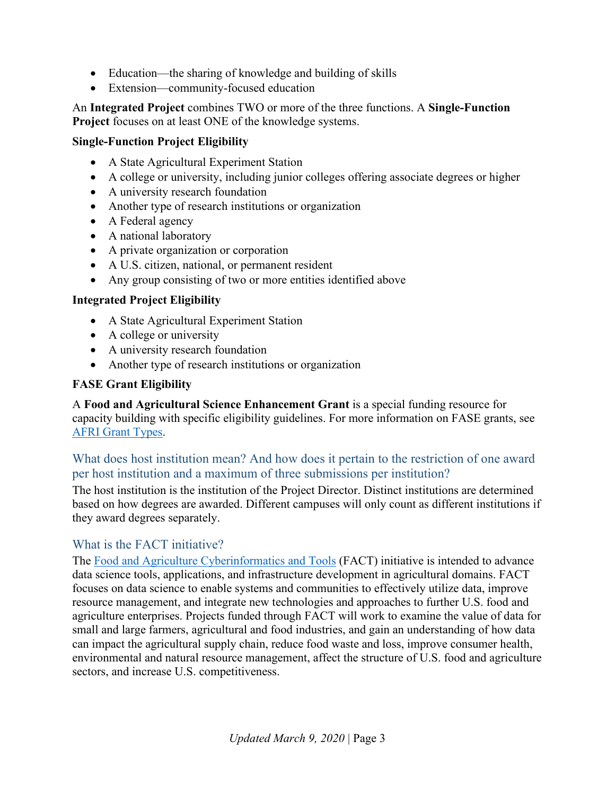- Education—the sharing of knowledge and building of skills
- Extension—community-focused education

An **Integrated Project** combines TWO or more of the three functions. A **Single-Function Project** focuses on at least ONE of the knowledge systems.

#### <span id="page-2-0"></span>**Single-Function Project Eligibility**

- A State Agricultural Experiment Station
- A college or university, including junior colleges offering associate degrees or higher
- A university research foundation
- Another type of research institutions or organization
- A Federal agency
- A national laboratory
- A private organization or corporation
- A U.S. citizen, national, or permanent resident
- Any group consisting of two or more entities identified above

#### <span id="page-2-1"></span>**Integrated Project Eligibility**

- A State Agricultural Experiment Station
- A college or university
- A university research foundation
- Another type of research institutions or organization

#### <span id="page-2-2"></span>**FASE Grant Eligibility**

A **Food and Agricultural Science Enhancement Grant** is a special funding resource for capacity building with specific eligibility guidelines. For more information on FASE grants, see [AFRI Grant Types.](https://nifa.usda.gov/sites/default/files/resource/AFRI-Grant-Types.pdf)

## <span id="page-2-3"></span>What does host institution mean? And how does it pertain to the restriction of one award per host institution and a maximum of three submissions per institution?

The host institution is the institution of the Project Director. Distinct institutions are determined based on how degrees are awarded. Different campuses will only count as different institutions if they award degrees separately.

#### <span id="page-2-4"></span>What is the FACT initiative?

The [Food and Agriculture Cyberinformatics and Tools](https://nifa.usda.gov/program/fact) (FACT) initiative is intended to advance data science tools, applications, and infrastructure development in agricultural domains. FACT focuses on data science to enable systems and communities to effectively utilize data, improve resource management, and integrate new technologies and approaches to further U.S. food and agriculture enterprises. Projects funded through FACT will work to examine the value of data for small and large farmers, agricultural and food industries, and gain an understanding of how data can impact the agricultural supply chain, reduce food waste and loss, improve consumer health, environmental and natural resource management, affect the structure of U.S. food and agriculture sectors, and increase U.S. competitiveness.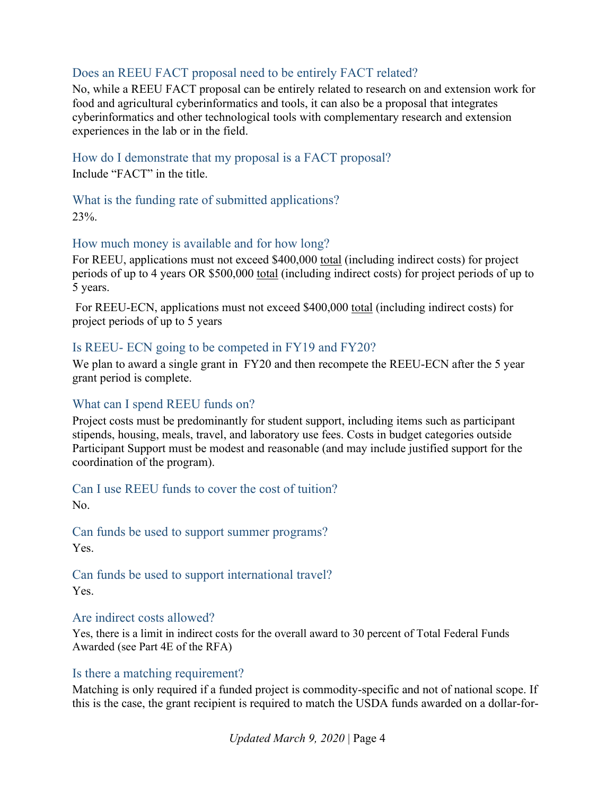# <span id="page-3-0"></span>Does an REEU FACT proposal need to be entirely FACT related?

No, while a REEU FACT proposal can be entirely related to research on and extension work for food and agricultural cyberinformatics and tools, it can also be a proposal that integrates cyberinformatics and other technological tools with complementary research and extension experiences in the lab or in the field.

<span id="page-3-1"></span>How do I demonstrate that my proposal is a FACT proposal? Include "FACT" in the title.

<span id="page-3-2"></span>What is the funding rate of submitted applications? 23%.

#### <span id="page-3-3"></span>How much money is available and for how long?

For REEU, applications must not exceed \$400,000 total (including indirect costs) for project periods of up to 4 years OR \$500,000 total (including indirect costs) for project periods of up to 5 years.

For REEU-ECN, applications must not exceed \$400,000 total (including indirect costs) for project periods of up to 5 years

#### <span id="page-3-4"></span>Is REEU- ECN going to be competed in FY19 and FY20?

We plan to award a single grant in FY20 and then recompete the REEU-ECN after the 5 year grant period is complete.

#### <span id="page-3-5"></span>What can I spend REEU funds on?

Project costs must be predominantly for student support, including items such as participant stipends, housing, meals, travel, and laboratory use fees. Costs in budget categories outside Participant Support must be modest and reasonable (and may include justified support for the coordination of the program).

#### <span id="page-3-6"></span>Can I use REEU funds to cover the cost of tuition?

No.

<span id="page-3-7"></span>Can funds be used to support summer programs? Yes.

<span id="page-3-8"></span>Can funds be used to support international travel? Yes.

#### <span id="page-3-9"></span>Are indirect costs allowed?

Yes, there is a limit in indirect costs for the overall award to 30 percent of Total Federal Funds Awarded (see Part 4E of the RFA)

#### <span id="page-3-10"></span>Is there a matching requirement?

Matching is only required if a funded project is commodity-specific and not of national scope. If this is the case, the grant recipient is required to match the USDA funds awarded on a dollar-for